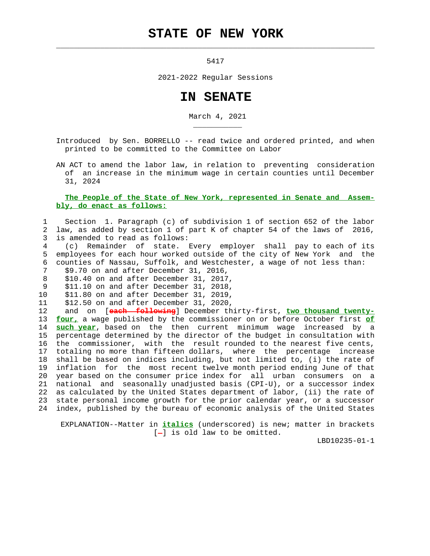## **STATE OF NEW YORK**

 $\mathcal{L}_\text{max} = \frac{1}{2} \sum_{i=1}^{n} \frac{1}{2} \sum_{i=1}^{n} \frac{1}{2} \sum_{i=1}^{n} \frac{1}{2} \sum_{i=1}^{n} \frac{1}{2} \sum_{i=1}^{n} \frac{1}{2} \sum_{i=1}^{n} \frac{1}{2} \sum_{i=1}^{n} \frac{1}{2} \sum_{i=1}^{n} \frac{1}{2} \sum_{i=1}^{n} \frac{1}{2} \sum_{i=1}^{n} \frac{1}{2} \sum_{i=1}^{n} \frac{1}{2} \sum_{i=1}^{n} \frac{1$ 

5417

2021-2022 Regular Sessions

## **IN SENATE**

March 4, 2021

 Introduced by Sen. BORRELLO -- read twice and ordered printed, and when printed to be committed to the Committee on Labor

 AN ACT to amend the labor law, in relation to preventing consideration of an increase in the minimum wage in certain counties until December 31, 2024

## **The People of the State of New York, represented in Senate and Assem bly, do enact as follows:**

## 1 Section 1. Paragraph (c) of subdivision 1 of section 652 of the labor 2 law, as added by section 1 of part K of chapter 54 of the laws of 2016, 3 is amended to read as follows:

 4 (c) Remainder of state. Every employer shall pay to each of its 5 employees for each hour worked outside of the city of New York and the 6 counties of Nassau, Suffolk, and Westchester, a wage of not less than:

7 \$9.70 on and after December 31, 2016,

\_\_\_\_\_\_\_\_\_\_\_

- 8 \$10.40 on and after December 31, 2017,
- 9 \$11.10 on and after December 31, 2018,
- 10 \$11.80 on and after December 31, 2019,
- 11 \$12.50 on and after December 31, 2020,

 12 and on [**each following**] December thirty-first, **two thousand twenty-** 13 **four,** a wage published by the commissioner on or before October first **of** 14 **such year**, based on the then current minimum wage increased by a 15 percentage determined by the director of the budget in consultation with 16 the commissioner, with the result rounded to the nearest five cents, 17 totaling no more than fifteen dollars, where the percentage increase 18 shall be based on indices including, but not limited to, (i) the rate of 19 inflation for the most recent twelve month period ending June of that 20 year based on the consumer price index for all urban consumers on a 21 national and seasonally unadjusted basis (CPI-U), or a successor index 22 as calculated by the United States department of labor, (ii) the rate of 23 state personal income growth for the prior calendar year, or a successor 24 index, published by the bureau of economic analysis of the United States

 EXPLANATION--Matter in **italics** (underscored) is new; matter in brackets  $[-]$  is old law to be omitted.

LBD10235-01-1